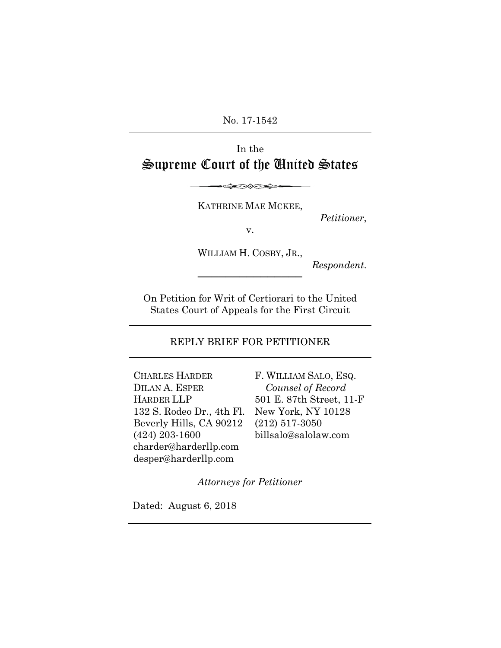No. 17-1542

# In the Supreme Court of the United States

KATHRINE MAE MCKEE,

<del></del>

*Petitioner*,

v.

WILLIAM H. COSBY, JR.,

───────────────────────────<del>─</del>

*Respondent*.

On Petition for Writ of Certiorari to the United States Court of Appeals for the First Circuit

## REPLY BRIEF FOR PETITIONER

CHARLES HARDER DILAN A. ESPER HARDER LLP 132 S. Rodeo Dr., 4th Fl. Beverly Hills, CA 90212 (424) 203-1600 charder@harderllp.com desper@harderllp.com

F. WILLIAM SALO, ESQ. *Counsel of Record* 501 E. 87th Street, 11-F New York, NY 10128 (212) 517-3050 billsalo@salolaw.com

*Attorneys for Petitioner*

Dated: August 6, 2018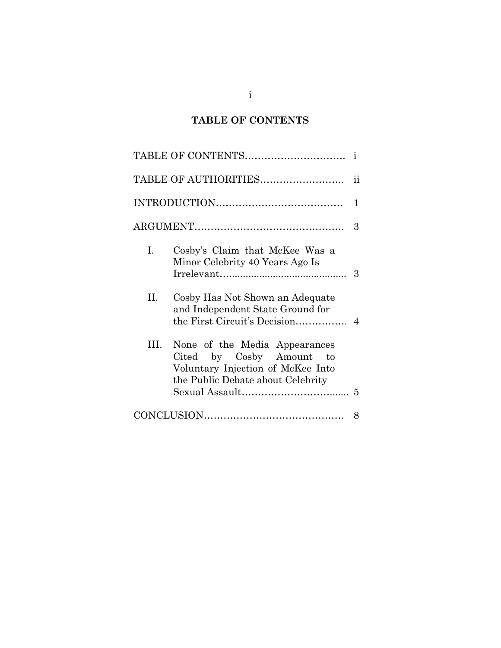# **TABLE OF CONTENTS**

|    |                                                                                                                                        | $\mathbf{i}$        |
|----|----------------------------------------------------------------------------------------------------------------------------------------|---------------------|
|    | TABLE OF AUTHORITIES                                                                                                                   | $\ddot{\textbf{i}}$ |
|    |                                                                                                                                        | 1                   |
|    |                                                                                                                                        | 3                   |
| Ι. | Cosby's Claim that McKee Was a<br>Minor Celebrity 40 Years Ago Is                                                                      | 3                   |
| Н. | Cosby Has Not Shown an Adequate<br>and Independent State Ground for                                                                    |                     |
| Ш  | None of the Media Appearances<br>by Cosby Amount to<br>Cited<br>Voluntary Injection of McKee Into<br>the Public Debate about Celebrity |                     |
|    |                                                                                                                                        | 8                   |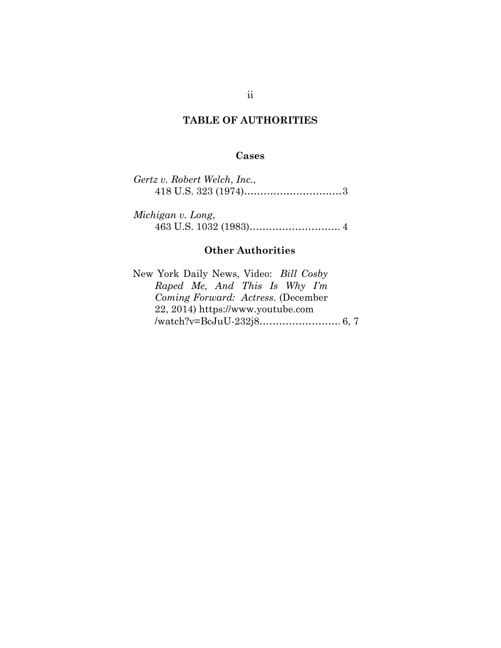# **TABLE OF AUTHORITIES**

## **Cases**

| Gertz v. Robert Welch, Inc., |  |
|------------------------------|--|
|                              |  |

*Michigan v. Long*, 463 U.S. 1032 (1983)………………………. 4

## **Other Authorities**

New York Daily News, Video: *Bill Cosby Raped Me, And This Is Why I'm Coming Forward: Actress*. (December 22, 2014) https://www.youtube.com /watch?v=BcJuU-232j8……………………. 6, 7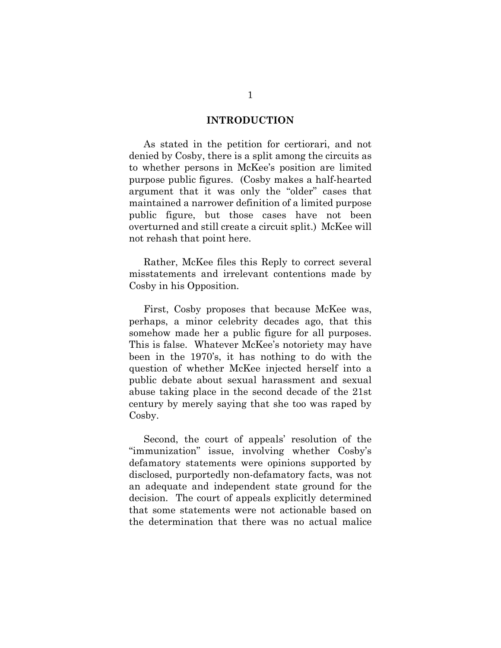#### **INTRODUCTION**

As stated in the petition for certiorari, and not denied by Cosby, there is a split among the circuits as to whether persons in McKee's position are limited purpose public figures. (Cosby makes a half-hearted argument that it was only the "older" cases that maintained a narrower definition of a limited purpose public figure, but those cases have not been overturned and still create a circuit split.) McKee will not rehash that point here.

Rather, McKee files this Reply to correct several misstatements and irrelevant contentions made by Cosby in his Opposition.

First, Cosby proposes that because McKee was, perhaps, a minor celebrity decades ago, that this somehow made her a public figure for all purposes. This is false. Whatever McKee's notoriety may have been in the 1970's, it has nothing to do with the question of whether McKee injected herself into a public debate about sexual harassment and sexual abuse taking place in the second decade of the 21st century by merely saying that she too was raped by Cosby.

Second, the court of appeals' resolution of the "immunization" issue, involving whether Cosby's defamatory statements were opinions supported by disclosed, purportedly non-defamatory facts, was not an adequate and independent state ground for the decision. The court of appeals explicitly determined that some statements were not actionable based on the determination that there was no actual malice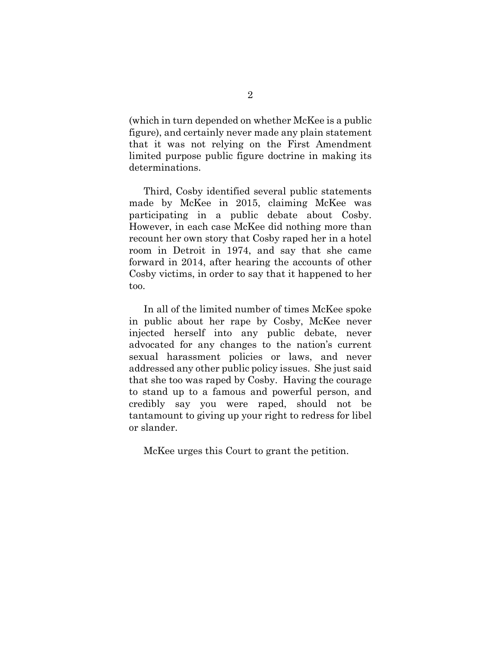(which in turn depended on whether McKee is a public figure), and certainly never made any plain statement that it was not relying on the First Amendment limited purpose public figure doctrine in making its determinations.

Third, Cosby identified several public statements made by McKee in 2015, claiming McKee was participating in a public debate about Cosby. However, in each case McKee did nothing more than recount her own story that Cosby raped her in a hotel room in Detroit in 1974, and say that she came forward in 2014, after hearing the accounts of other Cosby victims, in order to say that it happened to her too.

In all of the limited number of times McKee spoke in public about her rape by Cosby, McKee never injected herself into any public debate, never advocated for any changes to the nation's current sexual harassment policies or laws, and never addressed any other public policy issues. She just said that she too was raped by Cosby. Having the courage to stand up to a famous and powerful person, and credibly say you were raped, should not be tantamount to giving up your right to redress for libel or slander.

McKee urges this Court to grant the petition.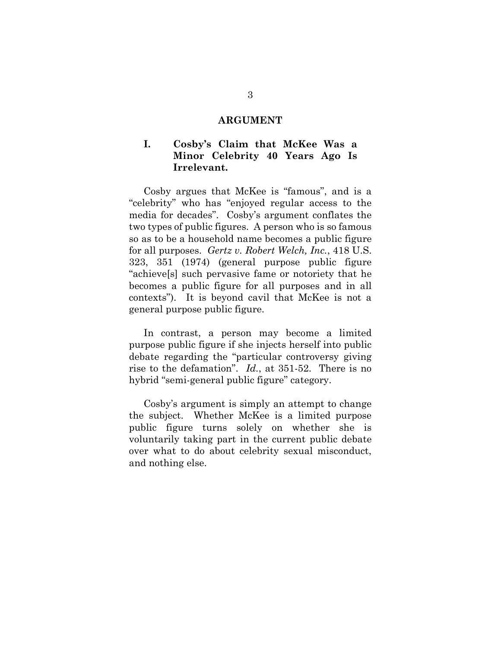### **ARGUMENT**

# **I. Cosby's Claim that McKee Was a Minor Celebrity 40 Years Ago Is Irrelevant.**

Cosby argues that McKee is "famous", and is a "celebrity" who has "enjoyed regular access to the media for decades". Cosby's argument conflates the two types of public figures. A person who is so famous so as to be a household name becomes a public figure for all purposes. *Gertz v. Robert Welch, Inc.*, 418 U.S. 323, 351 (1974) (general purpose public figure "achieve[s] such pervasive fame or notoriety that he becomes a public figure for all purposes and in all contexts"). It is beyond cavil that McKee is not a general purpose public figure.

In contrast, a person may become a limited purpose public figure if she injects herself into public debate regarding the "particular controversy giving rise to the defamation". *Id.*, at 351-52. There is no hybrid "semi-general public figure" category.

Cosby's argument is simply an attempt to change the subject. Whether McKee is a limited purpose public figure turns solely on whether she is voluntarily taking part in the current public debate over what to do about celebrity sexual misconduct, and nothing else.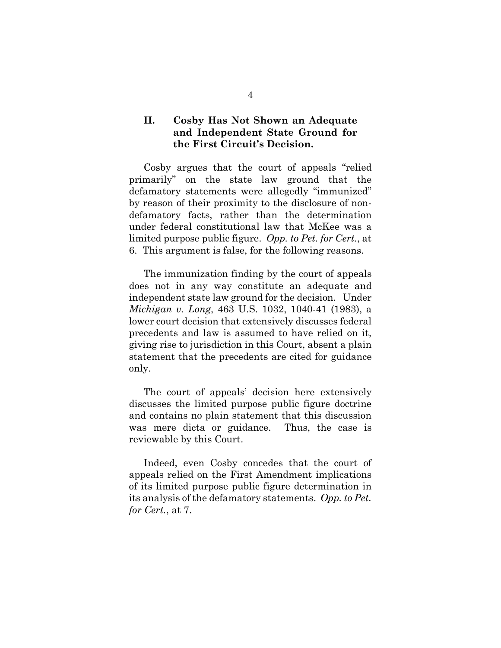# **II. Cosby Has Not Shown an Adequate and Independent State Ground for the First Circuit's Decision.**

Cosby argues that the court of appeals "relied primarily" on the state law ground that the defamatory statements were allegedly "immunized" by reason of their proximity to the disclosure of nondefamatory facts, rather than the determination under federal constitutional law that McKee was a limited purpose public figure. *Opp. to Pet. for Cert.*, at 6. This argument is false, for the following reasons.

The immunization finding by the court of appeals does not in any way constitute an adequate and independent state law ground for the decision. Under *Michigan v. Long*, 463 U.S. 1032, 1040-41 (1983), a lower court decision that extensively discusses federal precedents and law is assumed to have relied on it, giving rise to jurisdiction in this Court, absent a plain statement that the precedents are cited for guidance only.

The court of appeals' decision here extensively discusses the limited purpose public figure doctrine and contains no plain statement that this discussion was mere dicta or guidance. Thus, the case is reviewable by this Court.

Indeed, even Cosby concedes that the court of appeals relied on the First Amendment implications of its limited purpose public figure determination in its analysis of the defamatory statements. *Opp. to Pet. for Cert.*, at 7.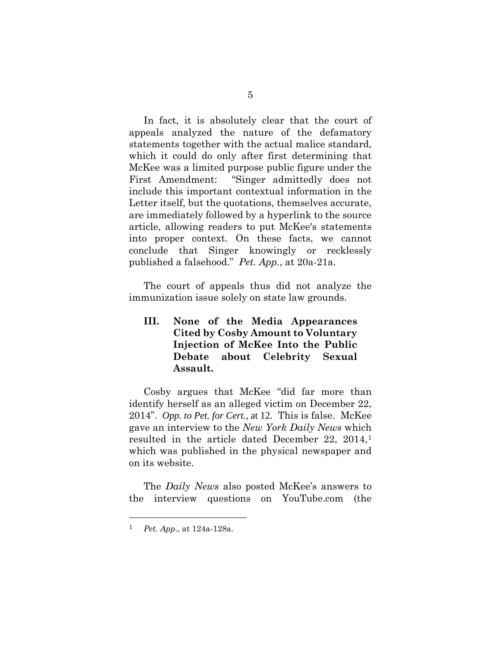In fact, it is absolutely clear that the court of appeals analyzed the nature of the defamatory statements together with the actual malice standard, which it could do only after first determining that McKee was a limited purpose public figure under the First Amendment: "Singer admittedly does not include this important contextual information in the Letter itself, but the quotations, themselves accurate, are immediately followed by a hyperlink to the source article, allowing readers to put McKee's statements into proper context. On these facts, we cannot conclude that Singer knowingly or recklessly published a falsehood." *Pet. App.*, at 20a-21a.

The court of appeals thus did not analyze the immunization issue solely on state law grounds.

**III. None of the Media Appearances Cited by Cosby Amount to Voluntary Injection of McKee Into the Public Debate about Celebrity Sexual Assault.**

Cosby argues that McKee "did far more than identify herself as an alleged victim on December 22, 2014". *Opp. to Pet. for Cert.*, at 12. This is false. McKee gave an interview to the *New York Daily News* which resulted in the article dated December 22, 20[1](#page-7-0)4,<sup>1</sup> which was published in the physical newspaper and on its website.

The *Daily News* also posted McKee's answers to the interview questions on YouTube.com (the

<span id="page-7-0"></span> <sup>1</sup> *Pet. App*., at 124a-128a.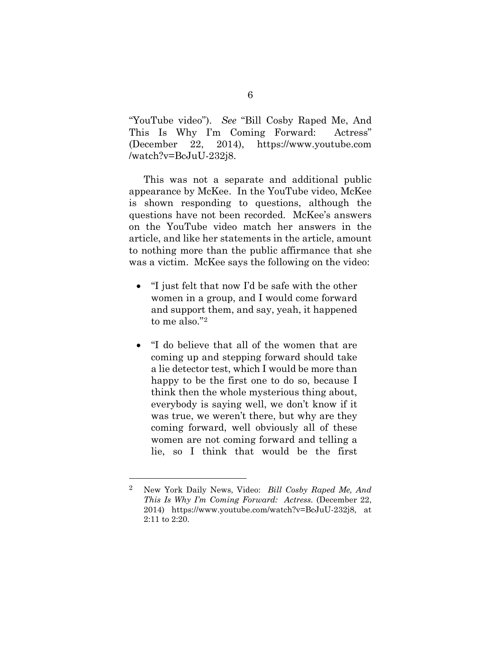"YouTube video"). *See* "Bill Cosby Raped Me, And This Is Why I'm Coming Forward: Actress" (December 22, 2014), https://www.youtube.com /watch?v=BcJuU-232j8.

This was not a separate and additional public appearance by McKee. In the YouTube video, McKee is shown responding to questions, although the questions have not been recorded. McKee's answers on the YouTube video match her answers in the article, and like her statements in the article, amount to nothing more than the public affirmance that she was a victim. McKee says the following on the video:

- "I just felt that now I'd be safe with the other women in a group, and I would come forward and support them, and say, yeah, it happened to me also."[2](#page-8-0)
- "I do believe that all of the women that are coming up and stepping forward should take a lie detector test, which I would be more than happy to be the first one to do so, because I think then the whole mysterious thing about, everybody is saying well, we don't know if it was true, we weren't there, but why are they coming forward, well obviously all of these women are not coming forward and telling a lie, so I think that would be the first

<span id="page-8-0"></span> <sup>2</sup> New York Daily News, Video: *Bill Cosby Raped Me, And This Is Why I'm Coming Forward: Actress.* (December 22, 2014) https://www.youtube.com/watch?v=BcJuU-232j8, at 2:11 to 2:20.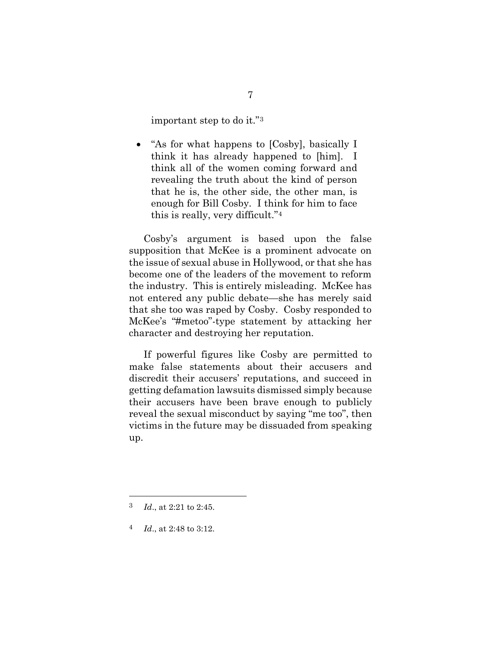important step to do it."[3](#page-9-0)

• "As for what happens to [Cosby], basically I think it has already happened to [him]. I think all of the women coming forward and revealing the truth about the kind of person that he is, the other side, the other man, is enough for Bill Cosby. I think for him to face this is really, very difficult."[4](#page-9-1)

Cosby's argument is based upon the false supposition that McKee is a prominent advocate on the issue of sexual abuse in Hollywood, or that she has become one of the leaders of the movement to reform the industry. This is entirely misleading. McKee has not entered any public debate—she has merely said that she too was raped by Cosby. Cosby responded to McKee's "#metoo"-type statement by attacking her character and destroying her reputation.

If powerful figures like Cosby are permitted to make false statements about their accusers and discredit their accusers' reputations, and succeed in getting defamation lawsuits dismissed simply because their accusers have been brave enough to publicly reveal the sexual misconduct by saying "me too", then victims in the future may be dissuaded from speaking up.

<span id="page-9-0"></span> <sup>3</sup> *Id*., at 2:21 to 2:45.

<span id="page-9-1"></span><sup>4</sup> *Id*., at 2:48 to 3:12.